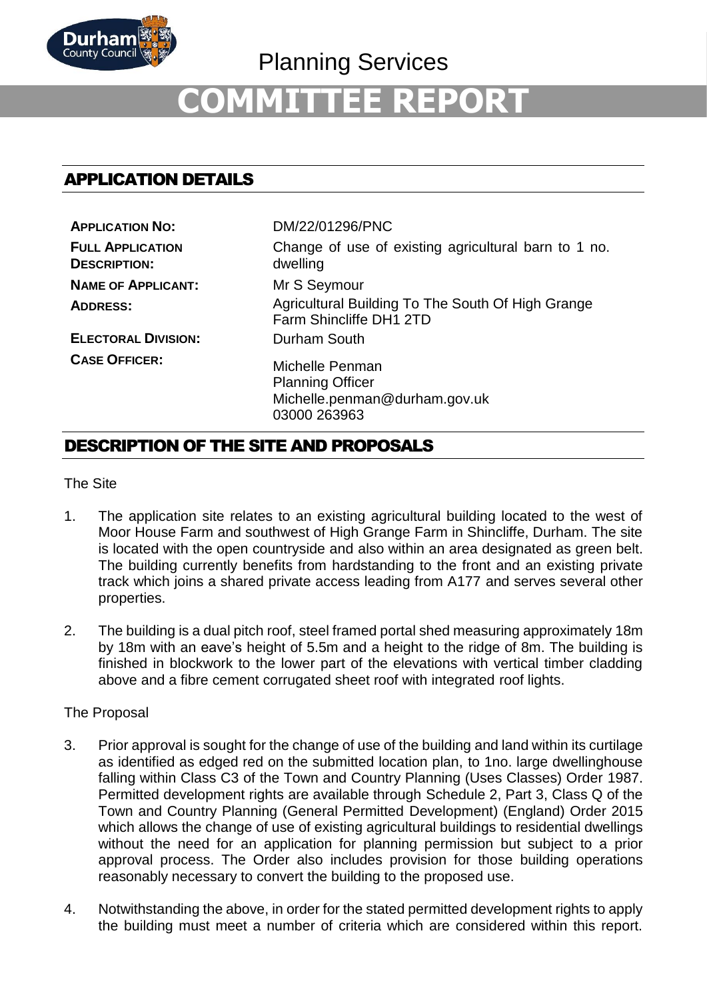

Planning Services

# **COMMITTEE REPORT**

# APPLICATION DETAILS

| <b>APPLICATION NO:</b>                         | DM/22/01296/PNC                                                                             |
|------------------------------------------------|---------------------------------------------------------------------------------------------|
| <b>FULL APPLICATION</b><br><b>DESCRIPTION:</b> | Change of use of existing agricultural barn to 1 no.<br>dwelling                            |
| <b>NAME OF APPLICANT:</b>                      | Mr S Seymour                                                                                |
| <b>ADDRESS:</b>                                | Agricultural Building To The South Of High Grange<br>Farm Shincliffe DH1 2TD                |
| <b>ELECTORAL DIVISION:</b>                     | Durham South                                                                                |
| <b>CASE OFFICER:</b>                           | Michelle Penman<br><b>Planning Officer</b><br>Michelle.penman@durham.gov.uk<br>03000 263963 |

# DESCRIPTION OF THE SITE AND PROPOSALS

The Site

- 1. The application site relates to an existing agricultural building located to the west of Moor House Farm and southwest of High Grange Farm in Shincliffe, Durham. The site is located with the open countryside and also within an area designated as green belt. The building currently benefits from hardstanding to the front and an existing private track which joins a shared private access leading from A177 and serves several other properties.
- 2. The building is a dual pitch roof, steel framed portal shed measuring approximately 18m by 18m with an eave's height of 5.5m and a height to the ridge of 8m. The building is finished in blockwork to the lower part of the elevations with vertical timber cladding above and a fibre cement corrugated sheet roof with integrated roof lights.

## The Proposal

- 3. Prior approval is sought for the change of use of the building and land within its curtilage as identified as edged red on the submitted location plan, to 1no. large dwellinghouse falling within Class C3 of the Town and Country Planning (Uses Classes) Order 1987. Permitted development rights are available through Schedule 2, Part 3, Class Q of the Town and Country Planning (General Permitted Development) (England) Order 2015 which allows the change of use of existing agricultural buildings to residential dwellings without the need for an application for planning permission but subject to a prior approval process. The Order also includes provision for those building operations reasonably necessary to convert the building to the proposed use.
- 4. Notwithstanding the above, in order for the stated permitted development rights to apply the building must meet a number of criteria which are considered within this report.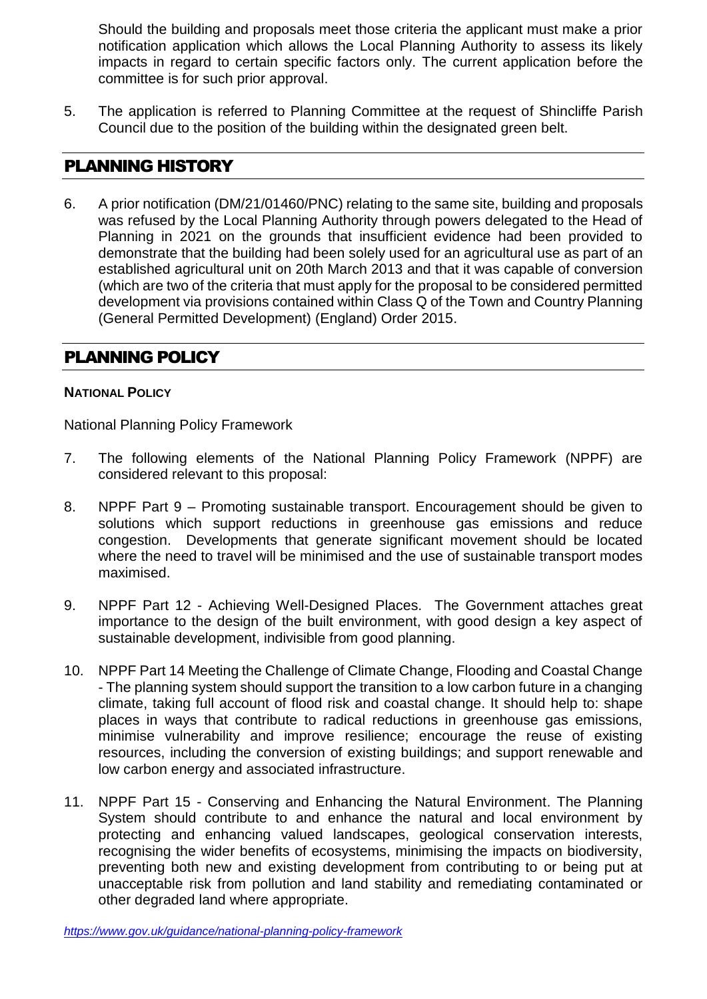Should the building and proposals meet those criteria the applicant must make a prior notification application which allows the Local Planning Authority to assess its likely impacts in regard to certain specific factors only. The current application before the committee is for such prior approval.

5. The application is referred to Planning Committee at the request of Shincliffe Parish Council due to the position of the building within the designated green belt.

# PLANNING HISTORY

6. A prior notification (DM/21/01460/PNC) relating to the same site, building and proposals was refused by the Local Planning Authority through powers delegated to the Head of Planning in 2021 on the grounds that insufficient evidence had been provided to demonstrate that the building had been solely used for an agricultural use as part of an established agricultural unit on 20th March 2013 and that it was capable of conversion (which are two of the criteria that must apply for the proposal to be considered permitted development via provisions contained within Class Q of the Town and Country Planning (General Permitted Development) (England) Order 2015.

# PLANNING POLICY

## **NATIONAL POLICY**

National Planning Policy Framework

- 7. The following elements of the National Planning Policy Framework (NPPF) are considered relevant to this proposal:
- 8. NPPF Part 9 Promoting sustainable transport. Encouragement should be given to solutions which support reductions in greenhouse gas emissions and reduce congestion. Developments that generate significant movement should be located where the need to travel will be minimised and the use of sustainable transport modes maximised.
- 9. NPPF Part 12 Achieving Well-Designed Places. The Government attaches great importance to the design of the built environment, with good design a key aspect of sustainable development, indivisible from good planning.
- 10. NPPF Part 14 Meeting the Challenge of Climate Change, Flooding and Coastal Change - The planning system should support the transition to a low carbon future in a changing climate, taking full account of flood risk and coastal change. It should help to: shape places in ways that contribute to radical reductions in greenhouse gas emissions, minimise vulnerability and improve resilience; encourage the reuse of existing resources, including the conversion of existing buildings; and support renewable and low carbon energy and associated infrastructure.
- 11. NPPF Part 15 Conserving and Enhancing the Natural Environment. The Planning System should contribute to and enhance the natural and local environment by protecting and enhancing valued landscapes, geological conservation interests, recognising the wider benefits of ecosystems, minimising the impacts on biodiversity, preventing both new and existing development from contributing to or being put at unacceptable risk from pollution and land stability and remediating contaminated or other degraded land where appropriate.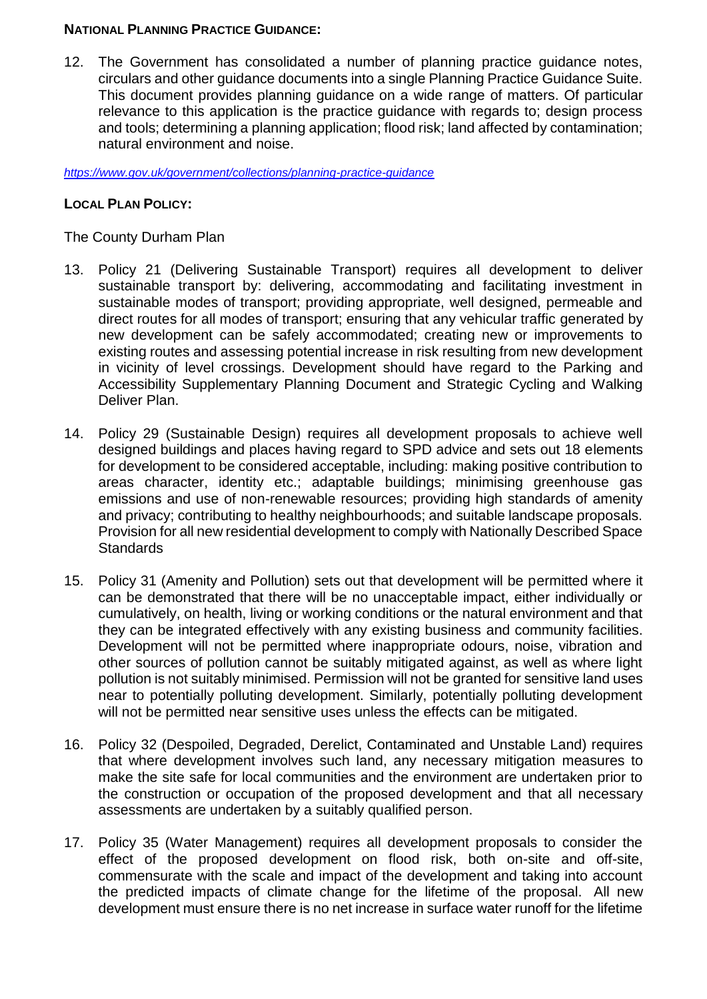## **NATIONAL PLANNING PRACTICE GUIDANCE:**

12. The Government has consolidated a number of planning practice guidance notes, circulars and other guidance documents into a single Planning Practice Guidance Suite. This document provides planning guidance on a wide range of matters. Of particular relevance to this application is the practice guidance with regards to; design process and tools; determining a planning application; flood risk; land affected by contamination; natural environment and noise.

*<https://www.gov.uk/government/collections/planning-practice-guidance>*

## **LOCAL PLAN POLICY:**

# The County Durham Plan

- 13. Policy 21 (Delivering Sustainable Transport) requires all development to deliver sustainable transport by: delivering, accommodating and facilitating investment in sustainable modes of transport; providing appropriate, well designed, permeable and direct routes for all modes of transport; ensuring that any vehicular traffic generated by new development can be safely accommodated; creating new or improvements to existing routes and assessing potential increase in risk resulting from new development in vicinity of level crossings. Development should have regard to the Parking and Accessibility Supplementary Planning Document and Strategic Cycling and Walking Deliver Plan.
- 14. Policy 29 (Sustainable Design) requires all development proposals to achieve well designed buildings and places having regard to SPD advice and sets out 18 elements for development to be considered acceptable, including: making positive contribution to areas character, identity etc.; adaptable buildings; minimising greenhouse gas emissions and use of non-renewable resources; providing high standards of amenity and privacy; contributing to healthy neighbourhoods; and suitable landscape proposals. Provision for all new residential development to comply with Nationally Described Space **Standards**
- 15. Policy 31 (Amenity and Pollution) sets out that development will be permitted where it can be demonstrated that there will be no unacceptable impact, either individually or cumulatively, on health, living or working conditions or the natural environment and that they can be integrated effectively with any existing business and community facilities. Development will not be permitted where inappropriate odours, noise, vibration and other sources of pollution cannot be suitably mitigated against, as well as where light pollution is not suitably minimised. Permission will not be granted for sensitive land uses near to potentially polluting development. Similarly, potentially polluting development will not be permitted near sensitive uses unless the effects can be mitigated.
- 16. Policy 32 (Despoiled, Degraded, Derelict, Contaminated and Unstable Land) requires that where development involves such land, any necessary mitigation measures to make the site safe for local communities and the environment are undertaken prior to the construction or occupation of the proposed development and that all necessary assessments are undertaken by a suitably qualified person.
- 17. Policy 35 (Water Management) requires all development proposals to consider the effect of the proposed development on flood risk, both on-site and off-site, commensurate with the scale and impact of the development and taking into account the predicted impacts of climate change for the lifetime of the proposal. All new development must ensure there is no net increase in surface water runoff for the lifetime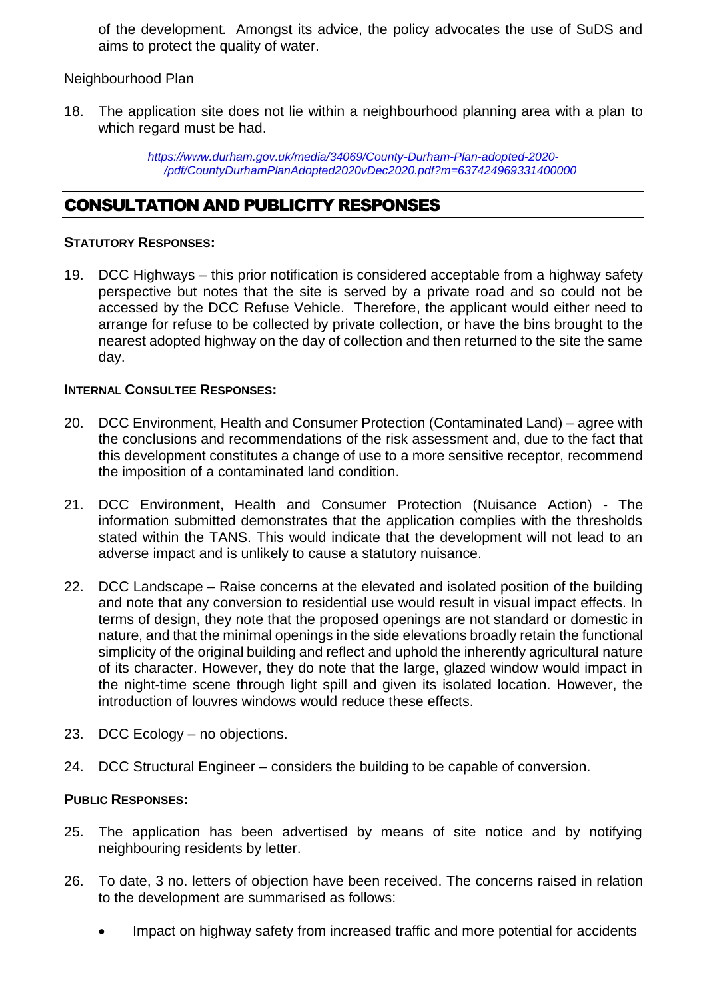of the development*.* Amongst its advice, the policy advocates the use of SuDS and aims to protect the quality of water.

Neighbourhood Plan

18. The application site does not lie within a neighbourhood planning area with a plan to which regard must be had.

> *[https://www.durham.gov.uk/media/34069/County-Durham-Plan-adopted-2020-](https://www.durham.gov.uk/media/34069/County-Durham-Plan-adopted-2020-/pdf/CountyDurhamPlanAdopted2020vDec2020.pdf?m=637424969331400000) [/pdf/CountyDurhamPlanAdopted2020vDec2020.pdf?m=637424969331400000](https://www.durham.gov.uk/media/34069/County-Durham-Plan-adopted-2020-/pdf/CountyDurhamPlanAdopted2020vDec2020.pdf?m=637424969331400000)*

# CONSULTATION AND PUBLICITY RESPONSES

## **STATUTORY RESPONSES:**

19. DCC Highways – this prior notification is considered acceptable from a highway safety perspective but notes that the site is served by a private road and so could not be accessed by the DCC Refuse Vehicle. Therefore, the applicant would either need to arrange for refuse to be collected by private collection, or have the bins brought to the nearest adopted highway on the day of collection and then returned to the site the same day.

# **INTERNAL CONSULTEE RESPONSES:**

- 20. DCC Environment, Health and Consumer Protection (Contaminated Land) agree with the conclusions and recommendations of the risk assessment and, due to the fact that this development constitutes a change of use to a more sensitive receptor, recommend the imposition of a contaminated land condition.
- 21. DCC Environment, Health and Consumer Protection (Nuisance Action) The information submitted demonstrates that the application complies with the thresholds stated within the TANS. This would indicate that the development will not lead to an adverse impact and is unlikely to cause a statutory nuisance.
- 22. DCC Landscape Raise concerns at the elevated and isolated position of the building and note that any conversion to residential use would result in visual impact effects. In terms of design, they note that the proposed openings are not standard or domestic in nature, and that the minimal openings in the side elevations broadly retain the functional simplicity of the original building and reflect and uphold the inherently agricultural nature of its character. However, they do note that the large, glazed window would impact in the night-time scene through light spill and given its isolated location. However, the introduction of louvres windows would reduce these effects.
- 23. DCC Ecology no objections.
- 24. DCC Structural Engineer considers the building to be capable of conversion.

## **PUBLIC RESPONSES:**

- 25. The application has been advertised by means of site notice and by notifying neighbouring residents by letter.
- 26. To date, 3 no. letters of objection have been received. The concerns raised in relation to the development are summarised as follows:
	- Impact on highway safety from increased traffic and more potential for accidents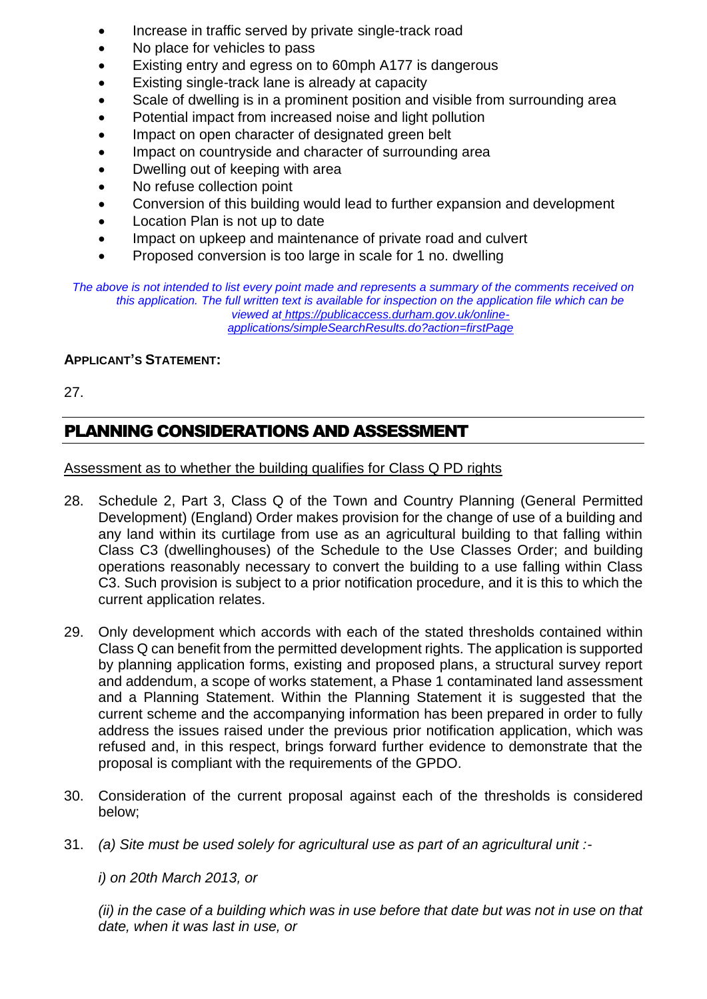- Increase in traffic served by private single-track road
- No place for vehicles to pass
- Existing entry and egress on to 60mph A177 is dangerous
- Existing single-track lane is already at capacity
- Scale of dwelling is in a prominent position and visible from surrounding area
- Potential impact from increased noise and light pollution
- Impact on open character of designated green belt
- Impact on countryside and character of surrounding area
- Dwelling out of keeping with area
- No refuse collection point
- Conversion of this building would lead to further expansion and development
- Location Plan is not up to date
- Impact on upkeep and maintenance of private road and culvert
- Proposed conversion is too large in scale for 1 no. dwelling

*The above is not intended to list every point made and represents a summary of the comments received on this application. The full written text is available for inspection on the application file which can be viewed at [https://publicaccess.durham.gov.uk/online](https://publicaccess.durham.gov.uk/online-applications/simpleSearchResults.do?action=firstPage)[applications/simpleSearchResults.do?action=firstPage](https://publicaccess.durham.gov.uk/online-applications/simpleSearchResults.do?action=firstPage)*

#### **APPLICANT'S STATEMENT:**

27.

# PLANNING CONSIDERATIONS AND ASSESSMENT

#### Assessment as to whether the building qualifies for Class Q PD rights

- 28. Schedule 2, Part 3, Class Q of the Town and Country Planning (General Permitted Development) (England) Order makes provision for the change of use of a building and any land within its curtilage from use as an agricultural building to that falling within Class C3 (dwellinghouses) of the Schedule to the Use Classes Order; and building operations reasonably necessary to convert the building to a use falling within Class C3. Such provision is subject to a prior notification procedure, and it is this to which the current application relates.
- 29. Only development which accords with each of the stated thresholds contained within Class Q can benefit from the permitted development rights. The application is supported by planning application forms, existing and proposed plans, a structural survey report and addendum, a scope of works statement, a Phase 1 contaminated land assessment and a Planning Statement. Within the Planning Statement it is suggested that the current scheme and the accompanying information has been prepared in order to fully address the issues raised under the previous prior notification application, which was refused and, in this respect, brings forward further evidence to demonstrate that the proposal is compliant with the requirements of the GPDO.
- 30. Consideration of the current proposal against each of the thresholds is considered below;
- 31. *(a) Site must be used solely for agricultural use as part of an agricultural unit :-*

*i) on 20th March 2013, or* 

*(ii) in the case of a building which was in use before that date but was not in use on that date, when it was last in use, or*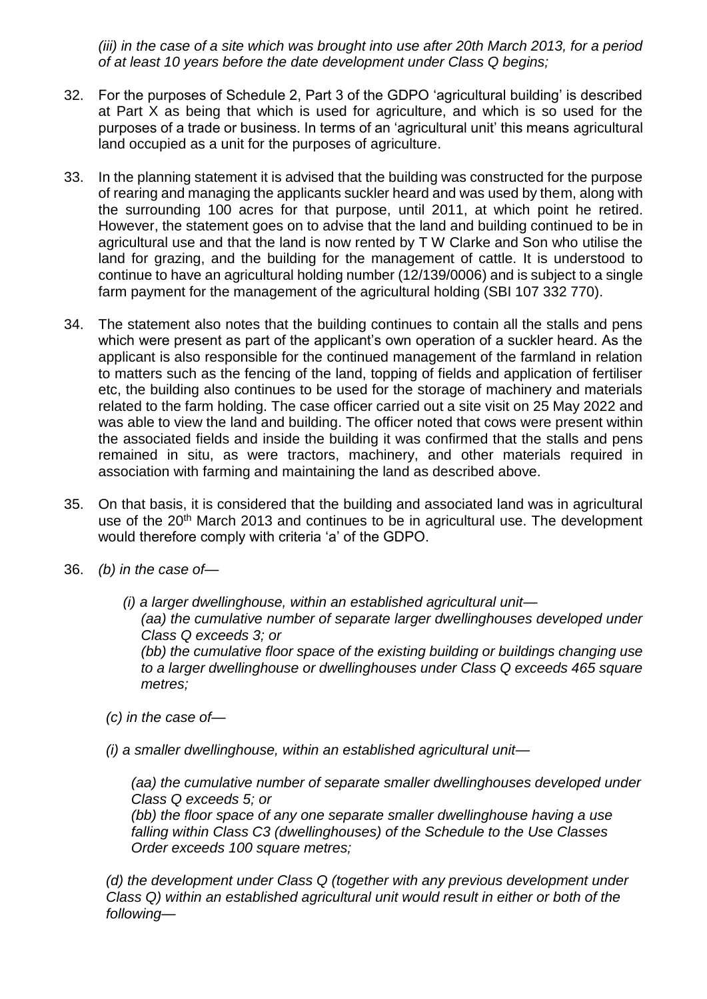*(iii) in the case of a site which was brought into use after 20th March 2013, for a period of at least 10 years before the date development under Class Q begins;*

- 32. For the purposes of Schedule 2, Part 3 of the GDPO 'agricultural building' is described at Part X as being that which is used for agriculture, and which is so used for the purposes of a trade or business. In terms of an 'agricultural unit' this means agricultural land occupied as a unit for the purposes of agriculture.
- 33. In the planning statement it is advised that the building was constructed for the purpose of rearing and managing the applicants suckler heard and was used by them, along with the surrounding 100 acres for that purpose, until 2011, at which point he retired. However, the statement goes on to advise that the land and building continued to be in agricultural use and that the land is now rented by T W Clarke and Son who utilise the land for grazing, and the building for the management of cattle. It is understood to continue to have an agricultural holding number (12/139/0006) and is subject to a single farm payment for the management of the agricultural holding (SBI 107 332 770).
- 34. The statement also notes that the building continues to contain all the stalls and pens which were present as part of the applicant's own operation of a suckler heard. As the applicant is also responsible for the continued management of the farmland in relation to matters such as the fencing of the land, topping of fields and application of fertiliser etc, the building also continues to be used for the storage of machinery and materials related to the farm holding. The case officer carried out a site visit on 25 May 2022 and was able to view the land and building. The officer noted that cows were present within the associated fields and inside the building it was confirmed that the stalls and pens remained in situ, as were tractors, machinery, and other materials required in association with farming and maintaining the land as described above.
- 35. On that basis, it is considered that the building and associated land was in agricultural use of the 20<sup>th</sup> March 2013 and continues to be in agricultural use. The development would therefore comply with criteria 'a' of the GDPO.
- 36. *(b) in the case of—*
	- *(i) a larger dwellinghouse, within an established agricultural unit— (aa) the cumulative number of separate larger dwellinghouses developed under Class Q exceeds 3; or (bb) the cumulative floor space of the existing building or buildings changing use to a larger dwellinghouse or dwellinghouses under Class Q exceeds 465 square metres;*

*(c) in the case of—*

*(i) a smaller dwellinghouse, within an established agricultural unit—*

*(aa) the cumulative number of separate smaller dwellinghouses developed under Class Q exceeds 5; or* 

*(bb) the floor space of any one separate smaller dwellinghouse having a use falling within Class C3 (dwellinghouses) of the Schedule to the Use Classes Order exceeds 100 square metres;*

*(d) the development under Class Q (together with any previous development under Class Q) within an established agricultural unit would result in either or both of the following—*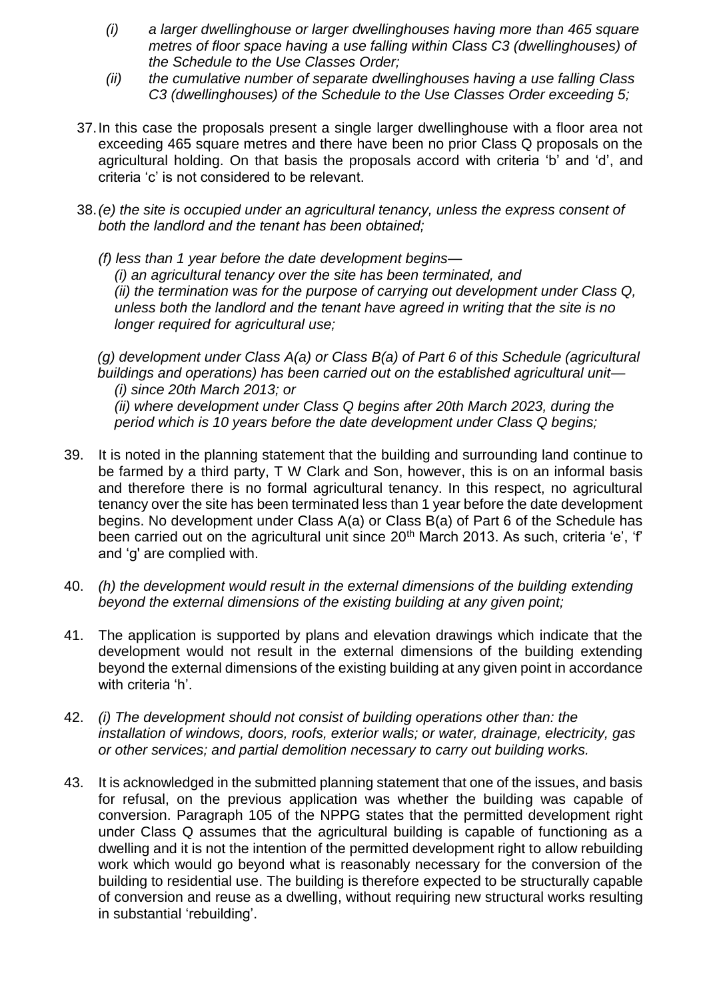- *(i) a larger dwellinghouse or larger dwellinghouses having more than 465 square metres of floor space having a use falling within Class C3 (dwellinghouses) of the Schedule to the Use Classes Order;*
- *(ii) the cumulative number of separate dwellinghouses having a use falling Class C3 (dwellinghouses) of the Schedule to the Use Classes Order exceeding 5;*
- 37.In this case the proposals present a single larger dwellinghouse with a floor area not exceeding 465 square metres and there have been no prior Class Q proposals on the agricultural holding. On that basis the proposals accord with criteria 'b' and 'd', and criteria 'c' is not considered to be relevant.
- 38.*(e) the site is occupied under an agricultural tenancy, unless the express consent of both the landlord and the tenant has been obtained;*
	- *(f) less than 1 year before the date development begins— (i) an agricultural tenancy over the site has been terminated, and (ii) the termination was for the purpose of carrying out development under Class Q, unless both the landlord and the tenant have agreed in writing that the site is no longer required for agricultural use;*

*(g) development under Class A(a) or Class B(a) of Part 6 of this Schedule (agricultural buildings and operations) has been carried out on the established agricultural unit— (i) since 20th March 2013; or*

*(ii) where development under Class Q begins after 20th March 2023, during the period which is 10 years before the date development under Class Q begins;*

- 39. It is noted in the planning statement that the building and surrounding land continue to be farmed by a third party, T W Clark and Son, however, this is on an informal basis and therefore there is no formal agricultural tenancy. In this respect, no agricultural tenancy over the site has been terminated less than 1 year before the date development begins. No development under Class A(a) or Class B(a) of Part 6 of the Schedule has been carried out on the agricultural unit since 20<sup>th</sup> March 2013. As such, criteria 'e', 'f' and 'g' are complied with.
- 40. *(h) the development would result in the external dimensions of the building extending beyond the external dimensions of the existing building at any given point;*
- 41. The application is supported by plans and elevation drawings which indicate that the development would not result in the external dimensions of the building extending beyond the external dimensions of the existing building at any given point in accordance with criteria 'h'.
- 42. *(i) The development should not consist of building operations other than: the installation of windows, doors, roofs, exterior walls; or water, drainage, electricity, gas or other services; and partial demolition necessary to carry out building works.*
- 43. It is acknowledged in the submitted planning statement that one of the issues, and basis for refusal, on the previous application was whether the building was capable of conversion. Paragraph 105 of the NPPG states that the permitted development right under Class Q assumes that the agricultural building is capable of functioning as a dwelling and it is not the intention of the permitted development right to allow rebuilding work which would go beyond what is reasonably necessary for the conversion of the building to residential use. The building is therefore expected to be structurally capable of conversion and reuse as a dwelling, without requiring new structural works resulting in substantial 'rebuilding'.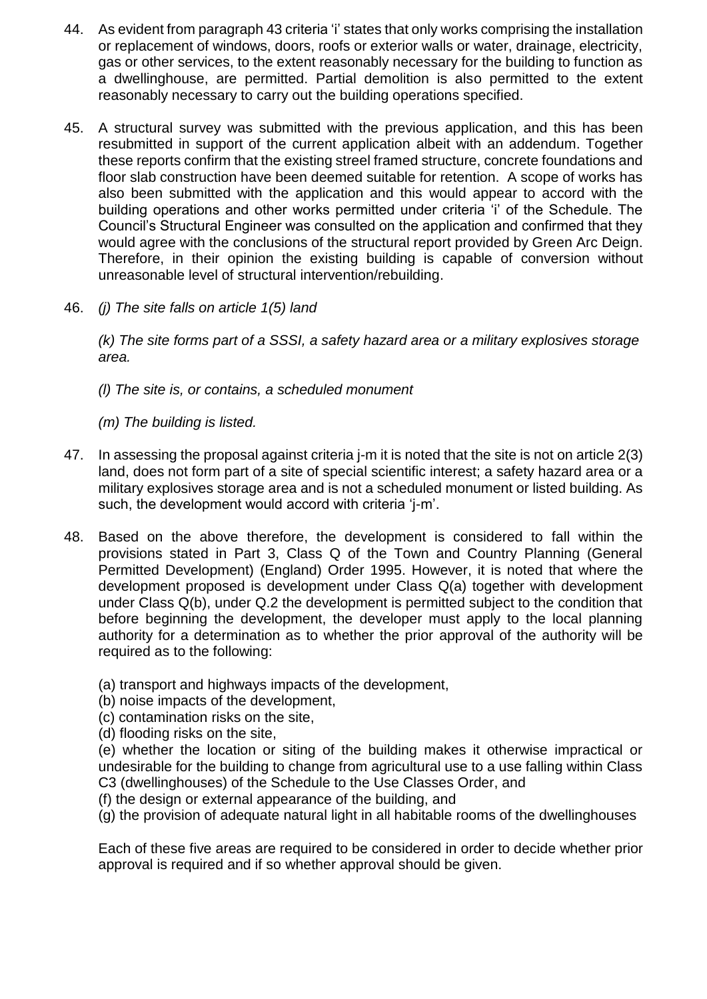- 44. As evident from paragraph 43 criteria 'i' states that only works comprising the installation or replacement of windows, doors, roofs or exterior walls or water, drainage, electricity, gas or other services, to the extent reasonably necessary for the building to function as a dwellinghouse, are permitted. Partial demolition is also permitted to the extent reasonably necessary to carry out the building operations specified.
- 45. A structural survey was submitted with the previous application, and this has been resubmitted in support of the current application albeit with an addendum. Together these reports confirm that the existing streel framed structure, concrete foundations and floor slab construction have been deemed suitable for retention. A scope of works has also been submitted with the application and this would appear to accord with the building operations and other works permitted under criteria 'i' of the Schedule. The Council's Structural Engineer was consulted on the application and confirmed that they would agree with the conclusions of the structural report provided by Green Arc Deign. Therefore, in their opinion the existing building is capable of conversion without unreasonable level of structural intervention/rebuilding.
- 46. *(j) The site falls on article 1(5) land*

*(k) The site forms part of a SSSI, a safety hazard area or a military explosives storage area.*

*(l) The site is, or contains, a scheduled monument*

*(m) The building is listed.*

- 47. In assessing the proposal against criteria j-m it is noted that the site is not on article 2(3) land, does not form part of a site of special scientific interest; a safety hazard area or a military explosives storage area and is not a scheduled monument or listed building. As such, the development would accord with criteria 'j-m'.
- 48. Based on the above therefore, the development is considered to fall within the provisions stated in Part 3, Class Q of the Town and Country Planning (General Permitted Development) (England) Order 1995. However, it is noted that where the development proposed is development under Class Q(a) together with development under Class Q(b), under Q.2 the development is permitted subject to the condition that before beginning the development, the developer must apply to the local planning authority for a determination as to whether the prior approval of the authority will be required as to the following:
	- (a) transport and highways impacts of the development,
	- (b) noise impacts of the development,
	- (c) contamination risks on the site,
	- (d) flooding risks on the site,

(e) whether the location or siting of the building makes it otherwise impractical or undesirable for the building to change from agricultural use to a use falling within Class C3 (dwellinghouses) of the Schedule to the Use Classes Order, and

(f) the design or external appearance of the building, and

(g) the provision of adequate natural light in all habitable rooms of the dwellinghouses

Each of these five areas are required to be considered in order to decide whether prior approval is required and if so whether approval should be given.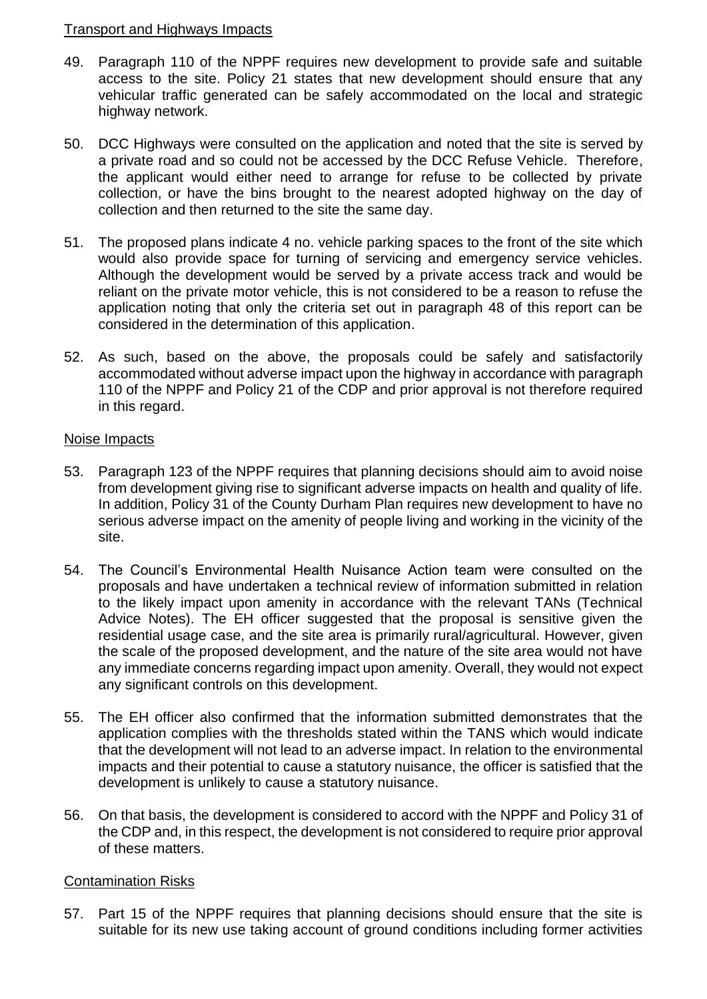#### Transport and Highways Impacts

- 49. Paragraph 110 of the NPPF requires new development to provide safe and suitable access to the site. Policy 21 states that new development should ensure that any vehicular traffic generated can be safely accommodated on the local and strategic highway network.
- 50. DCC Highways were consulted on the application and noted that the site is served by a private road and so could not be accessed by the DCC Refuse Vehicle. Therefore, the applicant would either need to arrange for refuse to be collected by private collection, or have the bins brought to the nearest adopted highway on the day of collection and then returned to the site the same day.
- 51. The proposed plans indicate 4 no. vehicle parking spaces to the front of the site which would also provide space for turning of servicing and emergency service vehicles. Although the development would be served by a private access track and would be reliant on the private motor vehicle, this is not considered to be a reason to refuse the application noting that only the criteria set out in paragraph 48 of this report can be considered in the determination of this application.
- 52. As such, based on the above, the proposals could be safely and satisfactorily accommodated without adverse impact upon the highway in accordance with paragraph 110 of the NPPF and Policy 21 of the CDP and prior approval is not therefore required in this regard.

#### Noise Impacts

- 53. Paragraph 123 of the NPPF requires that planning decisions should aim to avoid noise from development giving rise to significant adverse impacts on health and quality of life. In addition, Policy 31 of the County Durham Plan requires new development to have no serious adverse impact on the amenity of people living and working in the vicinity of the site.
- 54. The Council's Environmental Health Nuisance Action team were consulted on the proposals and have undertaken a technical review of information submitted in relation to the likely impact upon amenity in accordance with the relevant TANs (Technical Advice Notes). The EH officer suggested that the proposal is sensitive given the residential usage case, and the site area is primarily rural/agricultural. However, given the scale of the proposed development, and the nature of the site area would not have any immediate concerns regarding impact upon amenity. Overall, they would not expect any significant controls on this development.
- 55. The EH officer also confirmed that the information submitted demonstrates that the application complies with the thresholds stated within the TANS which would indicate that the development will not lead to an adverse impact. In relation to the environmental impacts and their potential to cause a statutory nuisance, the officer is satisfied that the development is unlikely to cause a statutory nuisance.
- 56. On that basis, the development is considered to accord with the NPPF and Policy 31 of the CDP and, in this respect, the development is not considered to require prior approval of these matters.

## Contamination Risks

57. Part 15 of the NPPF requires that planning decisions should ensure that the site is suitable for its new use taking account of ground conditions including former activities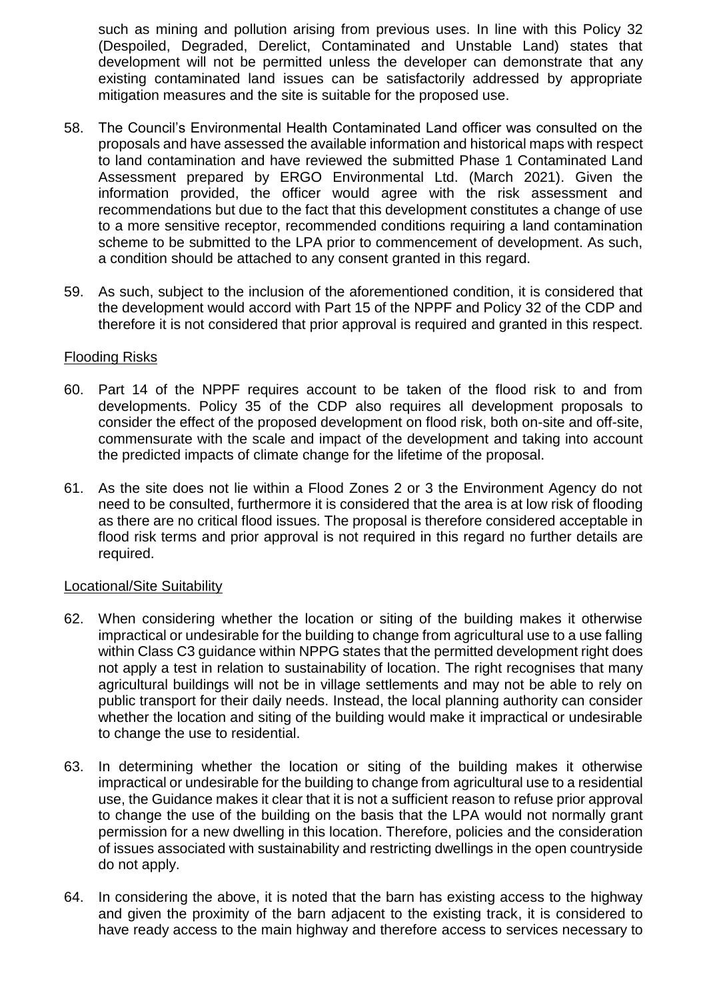such as mining and pollution arising from previous uses. In line with this Policy 32 (Despoiled, Degraded, Derelict, Contaminated and Unstable Land) states that development will not be permitted unless the developer can demonstrate that any existing contaminated land issues can be satisfactorily addressed by appropriate mitigation measures and the site is suitable for the proposed use.

- 58. The Council's Environmental Health Contaminated Land officer was consulted on the proposals and have assessed the available information and historical maps with respect to land contamination and have reviewed the submitted Phase 1 Contaminated Land Assessment prepared by ERGO Environmental Ltd. (March 2021). Given the information provided, the officer would agree with the risk assessment and recommendations but due to the fact that this development constitutes a change of use to a more sensitive receptor, recommended conditions requiring a land contamination scheme to be submitted to the LPA prior to commencement of development. As such, a condition should be attached to any consent granted in this regard.
- 59. As such, subject to the inclusion of the aforementioned condition, it is considered that the development would accord with Part 15 of the NPPF and Policy 32 of the CDP and therefore it is not considered that prior approval is required and granted in this respect.

#### Flooding Risks

- 60. Part 14 of the NPPF requires account to be taken of the flood risk to and from developments. Policy 35 of the CDP also requires all development proposals to consider the effect of the proposed development on flood risk, both on-site and off-site, commensurate with the scale and impact of the development and taking into account the predicted impacts of climate change for the lifetime of the proposal.
- 61. As the site does not lie within a Flood Zones 2 or 3 the Environment Agency do not need to be consulted, furthermore it is considered that the area is at low risk of flooding as there are no critical flood issues. The proposal is therefore considered acceptable in flood risk terms and prior approval is not required in this regard no further details are required.

## Locational/Site Suitability

- 62. When considering whether the location or siting of the building makes it otherwise impractical or undesirable for the building to change from agricultural use to a use falling within Class C3 guidance within NPPG states that the permitted development right does not apply a test in relation to sustainability of location. The right recognises that many agricultural buildings will not be in village settlements and may not be able to rely on public transport for their daily needs. Instead, the local planning authority can consider whether the location and siting of the building would make it impractical or undesirable to change the use to residential.
- 63. In determining whether the location or siting of the building makes it otherwise impractical or undesirable for the building to change from agricultural use to a residential use, the Guidance makes it clear that it is not a sufficient reason to refuse prior approval to change the use of the building on the basis that the LPA would not normally grant permission for a new dwelling in this location. Therefore, policies and the consideration of issues associated with sustainability and restricting dwellings in the open countryside do not apply.
- 64. In considering the above, it is noted that the barn has existing access to the highway and given the proximity of the barn adjacent to the existing track, it is considered to have ready access to the main highway and therefore access to services necessary to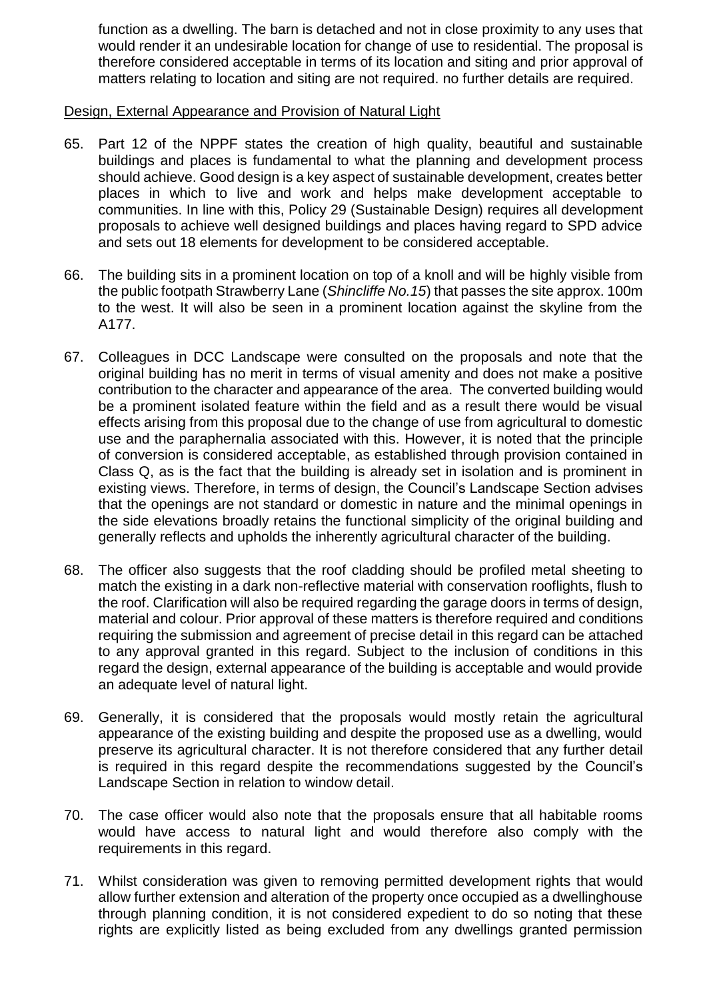function as a dwelling. The barn is detached and not in close proximity to any uses that would render it an undesirable location for change of use to residential. The proposal is therefore considered acceptable in terms of its location and siting and prior approval of matters relating to location and siting are not required. no further details are required.

#### Design, External Appearance and Provision of Natural Light

- 65. Part 12 of the NPPF states the creation of high quality, beautiful and sustainable buildings and places is fundamental to what the planning and development process should achieve. Good design is a key aspect of sustainable development, creates better places in which to live and work and helps make development acceptable to communities. In line with this, Policy 29 (Sustainable Design) requires all development proposals to achieve well designed buildings and places having regard to SPD advice and sets out 18 elements for development to be considered acceptable.
- 66. The building sits in a prominent location on top of a knoll and will be highly visible from the public footpath Strawberry Lane (*Shincliffe No.15*) that passes the site approx. 100m to the west. It will also be seen in a prominent location against the skyline from the A177.
- 67. Colleagues in DCC Landscape were consulted on the proposals and note that the original building has no merit in terms of visual amenity and does not make a positive contribution to the character and appearance of the area. The converted building would be a prominent isolated feature within the field and as a result there would be visual effects arising from this proposal due to the change of use from agricultural to domestic use and the paraphernalia associated with this. However, it is noted that the principle of conversion is considered acceptable, as established through provision contained in Class Q, as is the fact that the building is already set in isolation and is prominent in existing views. Therefore, in terms of design, the Council's Landscape Section advises that the openings are not standard or domestic in nature and the minimal openings in the side elevations broadly retains the functional simplicity of the original building and generally reflects and upholds the inherently agricultural character of the building.
- 68. The officer also suggests that the roof cladding should be profiled metal sheeting to match the existing in a dark non-reflective material with conservation rooflights, flush to the roof. Clarification will also be required regarding the garage doors in terms of design, material and colour. Prior approval of these matters is therefore required and conditions requiring the submission and agreement of precise detail in this regard can be attached to any approval granted in this regard. Subject to the inclusion of conditions in this regard the design, external appearance of the building is acceptable and would provide an adequate level of natural light.
- 69. Generally, it is considered that the proposals would mostly retain the agricultural appearance of the existing building and despite the proposed use as a dwelling, would preserve its agricultural character. It is not therefore considered that any further detail is required in this regard despite the recommendations suggested by the Council's Landscape Section in relation to window detail.
- 70. The case officer would also note that the proposals ensure that all habitable rooms would have access to natural light and would therefore also comply with the requirements in this regard.
- 71. Whilst consideration was given to removing permitted development rights that would allow further extension and alteration of the property once occupied as a dwellinghouse through planning condition, it is not considered expedient to do so noting that these rights are explicitly listed as being excluded from any dwellings granted permission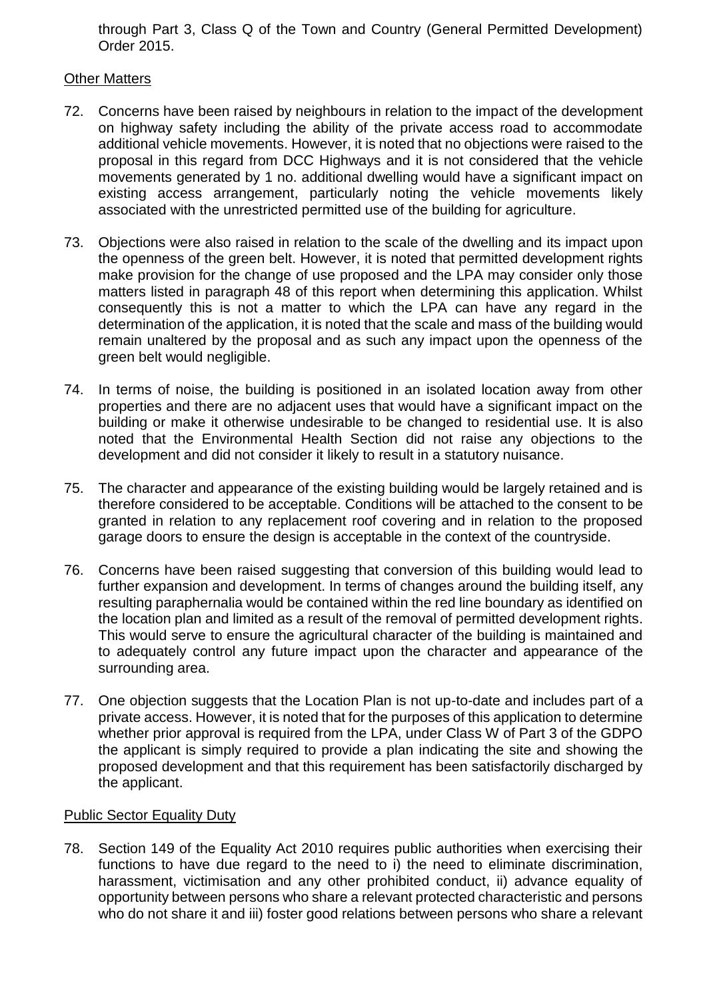through Part 3, Class Q of the Town and Country (General Permitted Development) Order 2015.

# Other Matters

- 72. Concerns have been raised by neighbours in relation to the impact of the development on highway safety including the ability of the private access road to accommodate additional vehicle movements. However, it is noted that no objections were raised to the proposal in this regard from DCC Highways and it is not considered that the vehicle movements generated by 1 no. additional dwelling would have a significant impact on existing access arrangement, particularly noting the vehicle movements likely associated with the unrestricted permitted use of the building for agriculture.
- 73. Objections were also raised in relation to the scale of the dwelling and its impact upon the openness of the green belt. However, it is noted that permitted development rights make provision for the change of use proposed and the LPA may consider only those matters listed in paragraph 48 of this report when determining this application. Whilst consequently this is not a matter to which the LPA can have any regard in the determination of the application, it is noted that the scale and mass of the building would remain unaltered by the proposal and as such any impact upon the openness of the green belt would negligible.
- 74. In terms of noise, the building is positioned in an isolated location away from other properties and there are no adjacent uses that would have a significant impact on the building or make it otherwise undesirable to be changed to residential use. It is also noted that the Environmental Health Section did not raise any objections to the development and did not consider it likely to result in a statutory nuisance.
- 75. The character and appearance of the existing building would be largely retained and is therefore considered to be acceptable. Conditions will be attached to the consent to be granted in relation to any replacement roof covering and in relation to the proposed garage doors to ensure the design is acceptable in the context of the countryside.
- 76. Concerns have been raised suggesting that conversion of this building would lead to further expansion and development. In terms of changes around the building itself, any resulting paraphernalia would be contained within the red line boundary as identified on the location plan and limited as a result of the removal of permitted development rights. This would serve to ensure the agricultural character of the building is maintained and to adequately control any future impact upon the character and appearance of the surrounding area.
- 77. One objection suggests that the Location Plan is not up-to-date and includes part of a private access. However, it is noted that for the purposes of this application to determine whether prior approval is required from the LPA, under Class W of Part 3 of the GDPO the applicant is simply required to provide a plan indicating the site and showing the proposed development and that this requirement has been satisfactorily discharged by the applicant.

## Public Sector Equality Duty

78. Section 149 of the Equality Act 2010 requires public authorities when exercising their functions to have due regard to the need to i) the need to eliminate discrimination, harassment, victimisation and any other prohibited conduct, ii) advance equality of opportunity between persons who share a relevant protected characteristic and persons who do not share it and iii) foster good relations between persons who share a relevant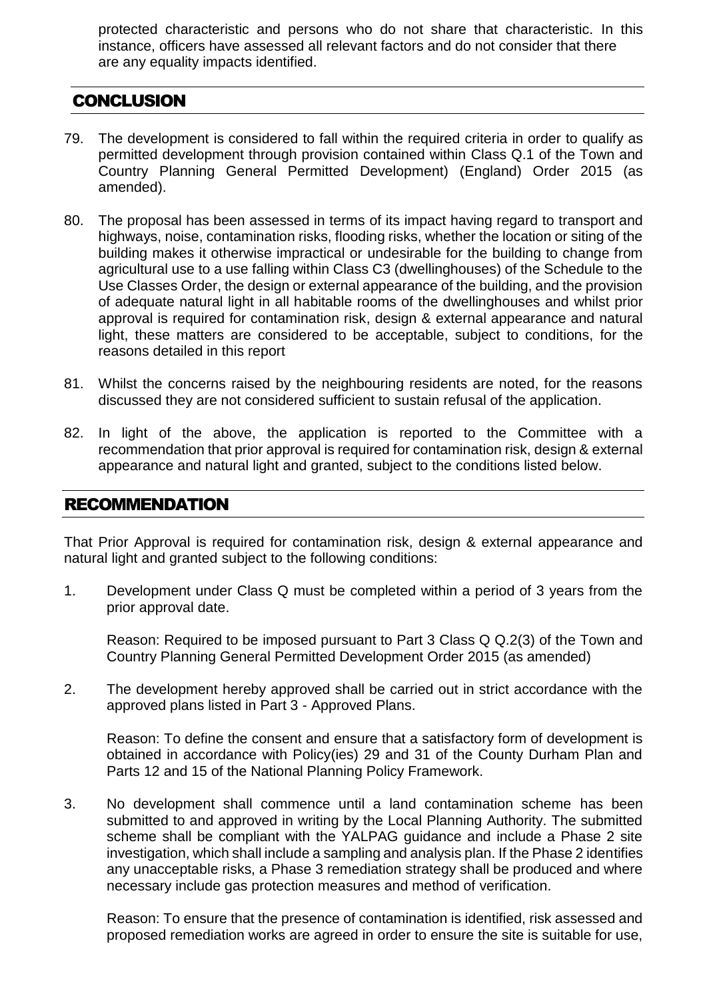protected characteristic and persons who do not share that characteristic. In this instance, officers have assessed all relevant factors and do not consider that there are any equality impacts identified.

# **CONCLUSION**

- 79. The development is considered to fall within the required criteria in order to qualify as permitted development through provision contained within Class Q.1 of the Town and Country Planning General Permitted Development) (England) Order 2015 (as amended).
- 80. The proposal has been assessed in terms of its impact having regard to transport and highways, noise, contamination risks, flooding risks, whether the location or siting of the building makes it otherwise impractical or undesirable for the building to change from agricultural use to a use falling within Class C3 (dwellinghouses) of the Schedule to the Use Classes Order, the design or external appearance of the building, and the provision of adequate natural light in all habitable rooms of the dwellinghouses and whilst prior approval is required for contamination risk, design & external appearance and natural light, these matters are considered to be acceptable, subject to conditions, for the reasons detailed in this report
- 81. Whilst the concerns raised by the neighbouring residents are noted, for the reasons discussed they are not considered sufficient to sustain refusal of the application.
- 82. In light of the above, the application is reported to the Committee with a recommendation that prior approval is required for contamination risk, design & external appearance and natural light and granted, subject to the conditions listed below.

# RECOMMENDATION

That Prior Approval is required for contamination risk, design & external appearance and natural light and granted subject to the following conditions:

1. Development under Class Q must be completed within a period of 3 years from the prior approval date.

Reason: Required to be imposed pursuant to Part 3 Class Q Q.2(3) of the Town and Country Planning General Permitted Development Order 2015 (as amended)

2. The development hereby approved shall be carried out in strict accordance with the approved plans listed in Part 3 - Approved Plans.

Reason: To define the consent and ensure that a satisfactory form of development is obtained in accordance with Policy(ies) 29 and 31 of the County Durham Plan and Parts 12 and 15 of the National Planning Policy Framework.

3. No development shall commence until a land contamination scheme has been submitted to and approved in writing by the Local Planning Authority. The submitted scheme shall be compliant with the YALPAG guidance and include a Phase 2 site investigation, which shall include a sampling and analysis plan. If the Phase 2 identifies any unacceptable risks, a Phase 3 remediation strategy shall be produced and where necessary include gas protection measures and method of verification.

Reason: To ensure that the presence of contamination is identified, risk assessed and proposed remediation works are agreed in order to ensure the site is suitable for use,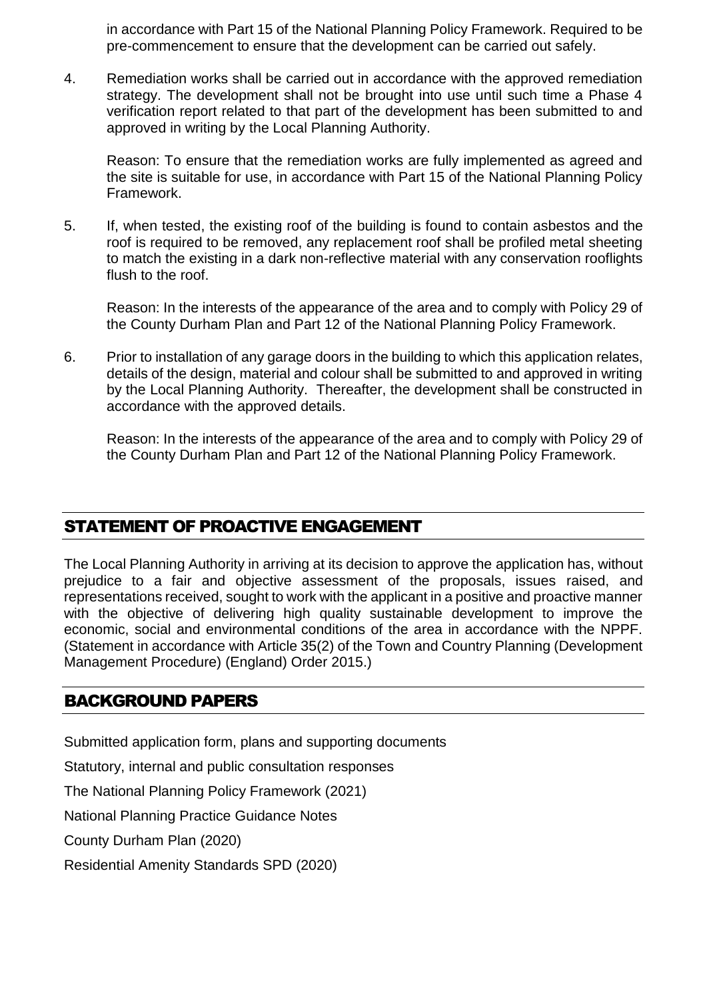in accordance with Part 15 of the National Planning Policy Framework. Required to be pre-commencement to ensure that the development can be carried out safely.

4. Remediation works shall be carried out in accordance with the approved remediation strategy. The development shall not be brought into use until such time a Phase 4 verification report related to that part of the development has been submitted to and approved in writing by the Local Planning Authority.

Reason: To ensure that the remediation works are fully implemented as agreed and the site is suitable for use, in accordance with Part 15 of the National Planning Policy Framework.

5. If, when tested, the existing roof of the building is found to contain asbestos and the roof is required to be removed, any replacement roof shall be profiled metal sheeting to match the existing in a dark non-reflective material with any conservation rooflights flush to the roof.

Reason: In the interests of the appearance of the area and to comply with Policy 29 of the County Durham Plan and Part 12 of the National Planning Policy Framework.

6. Prior to installation of any garage doors in the building to which this application relates, details of the design, material and colour shall be submitted to and approved in writing by the Local Planning Authority. Thereafter, the development shall be constructed in accordance with the approved details.

Reason: In the interests of the appearance of the area and to comply with Policy 29 of the County Durham Plan and Part 12 of the National Planning Policy Framework.

# STATEMENT OF PROACTIVE ENGAGEMENT

The Local Planning Authority in arriving at its decision to approve the application has, without prejudice to a fair and objective assessment of the proposals, issues raised, and representations received, sought to work with the applicant in a positive and proactive manner with the objective of delivering high quality sustainable development to improve the economic, social and environmental conditions of the area in accordance with the NPPF. (Statement in accordance with Article 35(2) of the Town and Country Planning (Development Management Procedure) (England) Order 2015.)

# BACKGROUND PAPERS

Submitted application form, plans and supporting documents

Statutory, internal and public consultation responses

The National Planning Policy Framework (2021)

National Planning Practice Guidance Notes

County Durham Plan (2020)

Residential Amenity Standards SPD (2020)